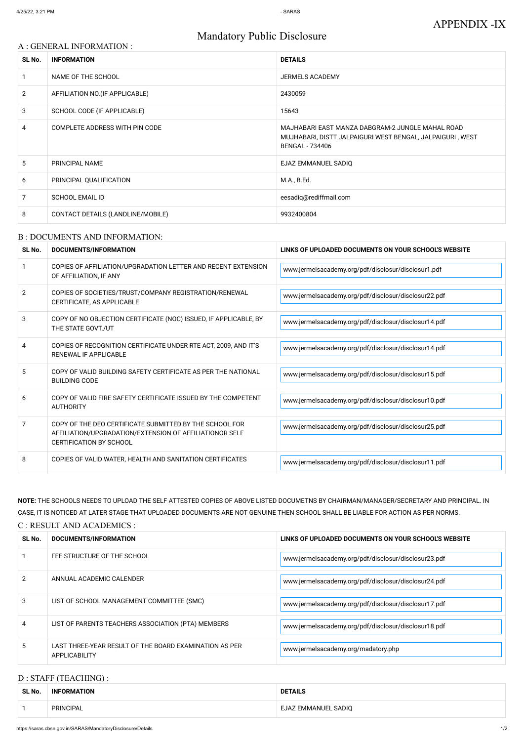# Mandatory Public Disclosure

#### A : GENERAL INFORMATION :

| SL No.         | <b>INFORMATION</b>                | <b>DETAILS</b>                                                                                                                          |
|----------------|-----------------------------------|-----------------------------------------------------------------------------------------------------------------------------------------|
|                | NAME OF THE SCHOOL                | <b>JERMELS ACADEMY</b>                                                                                                                  |
| $\overline{2}$ | AFFILIATION NO. (IF APPLICABLE)   | 2430059                                                                                                                                 |
| 3              | SCHOOL CODE (IF APPLICABLE)       | 15643                                                                                                                                   |
| 4              | COMPLETE ADDRESS WITH PIN CODE    | MAJHABARI EAST MANZA DABGRAM-2 JUNGLE MAHAL ROAD<br>MUJHABARI, DISTT JALPAIGURI WEST BENGAL, JALPAIGURI, WEST<br><b>BENGAL - 734406</b> |
| 5              | PRINCIPAL NAME                    | EJAZ EMMANUEL SADIQ                                                                                                                     |
| 6              | PRINCIPAL QUALIFICATION           | M.A., B.Ed.                                                                                                                             |
| 7              | <b>SCHOOL EMAIL ID</b>            | eesadiq@rediffmail.com                                                                                                                  |
| 8              | CONTACT DETAILS (LANDLINE/MOBILE) | 9932400804                                                                                                                              |

#### B : DOCUMENTS AND INFORMATION:

| SL No. | DOCUMENTS/INFORMATION                                                                                                                                | LINKS OF UPLOADED DOCUMENTS ON YOUR SCHOOL'S WEBSITE |  |
|--------|------------------------------------------------------------------------------------------------------------------------------------------------------|------------------------------------------------------|--|
|        | COPIES OF AFFILIATION/UPGRADATION LETTER AND RECENT EXTENSION<br>OF AFFILIATION, IF ANY                                                              | www.jermelsacademy.org/pdf/disclosur/disclosur1.pdf  |  |
| 2      | COPIES OF SOCIETIES/TRUST/COMPANY REGISTRATION/RENEWAL<br>CERTIFICATE, AS APPLICABLE                                                                 | www.jermelsacademy.org/pdf/disclosur/disclosur22.pdf |  |
| 3      | COPY OF NO OBJECTION CERTIFICATE (NOC) ISSUED, IF APPLICABLE, BY<br>THE STATE GOVT./UT                                                               | www.jermelsacademy.org/pdf/disclosur/disclosur14.pdf |  |
| 4      | COPIES OF RECOGNITION CERTIFICATE UNDER RTE ACT, 2009, AND IT'S<br>RENEWAL IF APPLICABLE                                                             | www.jermelsacademy.org/pdf/disclosur/disclosur14.pdf |  |
| 5      | COPY OF VALID BUILDING SAFETY CERTIFICATE AS PER THE NATIONAL<br><b>BUILDING CODE</b>                                                                | www.jermelsacademy.org/pdf/disclosur/disclosur15.pdf |  |
| 6      | COPY OF VALID FIRE SAFETY CERTIFICATE ISSUED BY THE COMPETENT<br><b>AUTHORITY</b>                                                                    | www.jermelsacademy.org/pdf/disclosur/disclosur10.pdf |  |
| 7      | COPY OF THE DEO CERTIFICATE SUBMITTED BY THE SCHOOL FOR<br>AFFILIATION/UPGRADATION/EXTENSION OF AFFILIATIONOR SELF<br><b>CERTIFICATION BY SCHOOL</b> | www.jermelsacademy.org/pdf/disclosur/disclosur25.pdf |  |
| 8      | COPIES OF VALID WATER, HEALTH AND SANITATION CERTIFICATES                                                                                            | www.jermelsacademy.org/pdf/disclosur/disclosur11.pdf |  |

**NOTE:** THE SCHOOLS NEEDS TO UPLOAD THE SELF ATTESTED COPIES OF ABOVE LISTED DOCUMETNS BY CHAIRMAN/MANAGER/SECRETARY AND PRINCIPAL. IN CASE, IT IS NOTICED AT LATER STAGE THAT UPLOADED DOCUMENTS ARE NOT GENUINE THEN SCHOOL SHALL BE LIABLE FOR ACTION AS PER NORMS.

#### C : RESULT AND ACADEMICS :

| SL No.        | DOCUMENTS/INFORMATION                                                   | LINKS OF UPLOADED DOCUMENTS ON YOUR SCHOOL'S WEBSITE |
|---------------|-------------------------------------------------------------------------|------------------------------------------------------|
|               | FEE STRUCTURE OF THE SCHOOL                                             | www.jermelsacademy.org/pdf/disclosur/disclosur23.pdf |
| $\mathcal{P}$ | ANNUAL ACADEMIC CALENDER                                                | www.jermelsacademy.org/pdf/disclosur/disclosur24.pdf |
| 3             | LIST OF SCHOOL MANAGEMENT COMMITTEE (SMC)                               | www.jermelsacademy.org/pdf/disclosur/disclosur17.pdf |
| 4             | LIST OF PARENTS TEACHERS ASSOCIATION (PTA) MEMBERS                      | www.jermelsacademy.org/pdf/disclosur/disclosur18.pdf |
| 5.            | LAST THREE-YEAR RESULT OF THE BOARD EXAMINATION AS PER<br>APPLICABILITY | www.jermelsacademy.org/madatory.php                  |

# D : STAFF (TEACHING) :

| SL No. | <b>INFORMATION</b> | <b>DETAILS</b>      |
|--------|--------------------|---------------------|
|        | <b>PRINCIPAL</b>   | EJAZ EMMANUEL SADIQ |